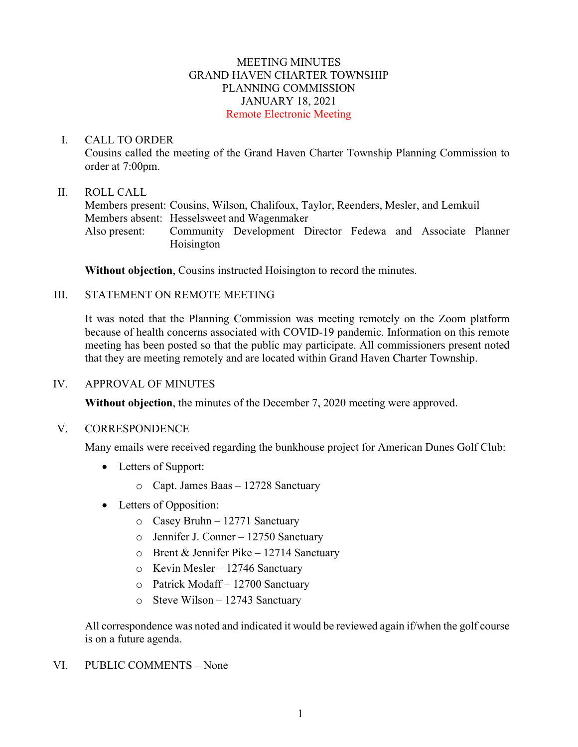## MEETING MINUTES GRAND HAVEN CHARTER TOWNSHIP PLANNING COMMISSION JANUARY 18, 2021 Remote Electronic Meeting

### I. CALL TO ORDER

Cousins called the meeting of the Grand Haven Charter Township Planning Commission to order at 7:00pm.

### II. ROLL CALL

Members present: Cousins, Wilson, Chalifoux, Taylor, Reenders, Mesler, and Lemkuil Members absent: Hesselsweet and Wagenmaker Also present: Community Development Director Fedewa and Associate Planner Hoisington

**Without objection**, Cousins instructed Hoisington to record the minutes.

## III. STATEMENT ON REMOTE MEETING

It was noted that the Planning Commission was meeting remotely on the Zoom platform because of health concerns associated with COVID-19 pandemic. Information on this remote meeting has been posted so that the public may participate. All commissioners present noted that they are meeting remotely and are located within Grand Haven Charter Township.

#### IV. APPROVAL OF MINUTES

**Without objection**, the minutes of the December 7, 2020 meeting were approved.

#### V. CORRESPONDENCE

Many emails were received regarding the bunkhouse project for American Dunes Golf Club:

- Letters of Support:
	- o Capt. James Baas 12728 Sanctuary
- Letters of Opposition:
	- o Casey Bruhn 12771 Sanctuary
	- o Jennifer J. Conner 12750 Sanctuary
	- $\circ$  Brent & Jennifer Pike 12714 Sanctuary
	- o Kevin Mesler 12746 Sanctuary
	- o Patrick Modaff 12700 Sanctuary
	- o Steve Wilson 12743 Sanctuary

All correspondence was noted and indicated it would be reviewed again if/when the golf course is on a future agenda.

#### VI. PUBLIC COMMENTS – None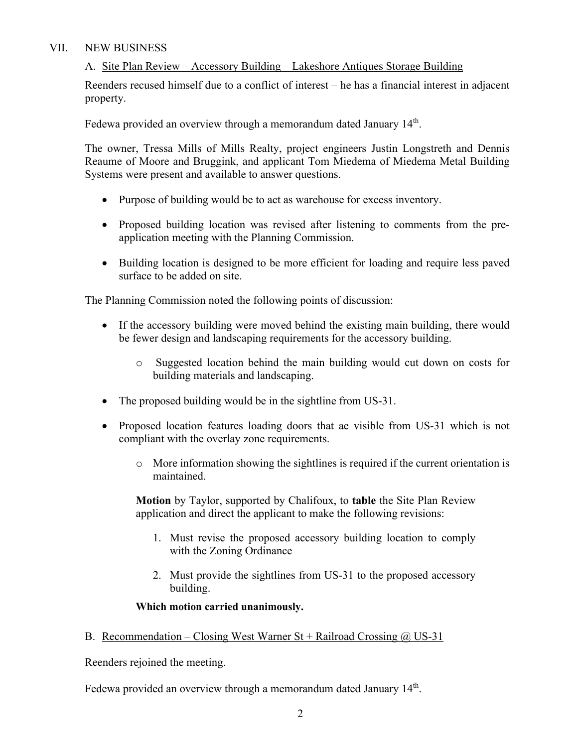# VII. NEW BUSINESS

# A. Site Plan Review – Accessory Building – Lakeshore Antiques Storage Building

Reenders recused himself due to a conflict of interest – he has a financial interest in adjacent property.

Fedewa provided an overview through a memorandum dated January 14<sup>th</sup>.

The owner, Tressa Mills of Mills Realty, project engineers Justin Longstreth and Dennis Reaume of Moore and Bruggink, and applicant Tom Miedema of Miedema Metal Building Systems were present and available to answer questions.

- Purpose of building would be to act as warehouse for excess inventory.
- Proposed building location was revised after listening to comments from the preapplication meeting with the Planning Commission.
- Building location is designed to be more efficient for loading and require less paved surface to be added on site.

The Planning Commission noted the following points of discussion:

- If the accessory building were moved behind the existing main building, there would be fewer design and landscaping requirements for the accessory building.
	- o Suggested location behind the main building would cut down on costs for building materials and landscaping.
- The proposed building would be in the sightline from US-31.
- Proposed location features loading doors that ae visible from US-31 which is not compliant with the overlay zone requirements.
	- $\circ$  More information showing the sightlines is required if the current orientation is maintained.

**Motion** by Taylor, supported by Chalifoux, to **table** the Site Plan Review application and direct the applicant to make the following revisions:

- 1. Must revise the proposed accessory building location to comply with the Zoning Ordinance
- 2. Must provide the sightlines from US-31 to the proposed accessory building.

#### **Which motion carried unanimously.**

B. Recommendation – Closing West Warner St + Railroad Crossing  $\omega$  US-31

Reenders rejoined the meeting.

Fedewa provided an overview through a memorandum dated January 14<sup>th</sup>.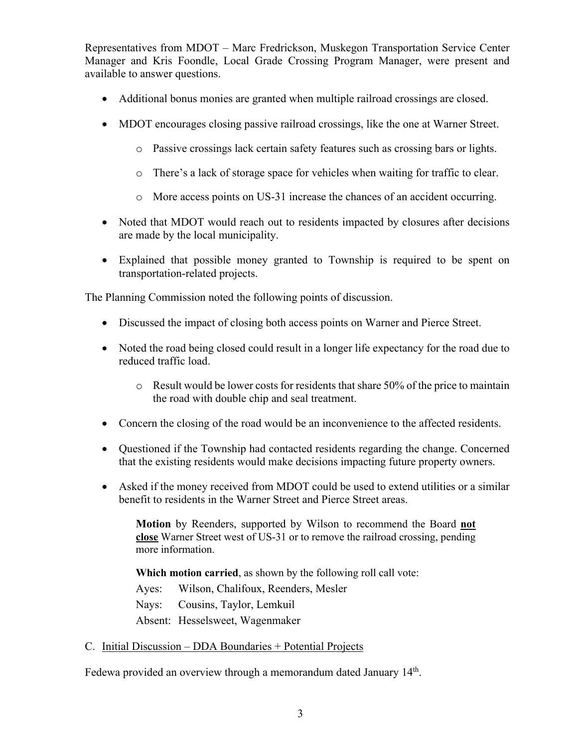Representatives from MDOT – Marc Fredrickson, Muskegon Transportation Service Center Manager and Kris Foondle, Local Grade Crossing Program Manager, were present and available to answer questions.

- Additional bonus monies are granted when multiple railroad crossings are closed.
- MDOT encourages closing passive railroad crossings, like the one at Warner Street.
	- o Passive crossings lack certain safety features such as crossing bars or lights.
	- o There's a lack of storage space for vehicles when waiting for traffic to clear.
	- o More access points on US-31 increase the chances of an accident occurring.
- Noted that MDOT would reach out to residents impacted by closures after decisions are made by the local municipality.
- Explained that possible money granted to Township is required to be spent on transportation-related projects.

The Planning Commission noted the following points of discussion.

- Discussed the impact of closing both access points on Warner and Pierce Street.
- Noted the road being closed could result in a longer life expectancy for the road due to reduced traffic load.
	- $\circ$  Result would be lower costs for residents that share 50% of the price to maintain the road with double chip and seal treatment.
- Concern the closing of the road would be an inconvenience to the affected residents.
- Ouestioned if the Township had contacted residents regarding the change. Concerned that the existing residents would make decisions impacting future property owners.
- Asked if the money received from MDOT could be used to extend utilities or a similar benefit to residents in the Warner Street and Pierce Street areas.

**Motion** by Reenders, supported by Wilson to recommend the Board **not close** Warner Street west of US-31 or to remove the railroad crossing, pending more information.

**Which motion carried**, as shown by the following roll call vote:

Ayes: Wilson, Chalifoux, Reenders, Mesler

Nays: Cousins, Taylor, Lemkuil

Absent: Hesselsweet, Wagenmaker

#### C. Initial Discussion – DDA Boundaries + Potential Projects

Fedewa provided an overview through a memorandum dated January 14<sup>th</sup>.